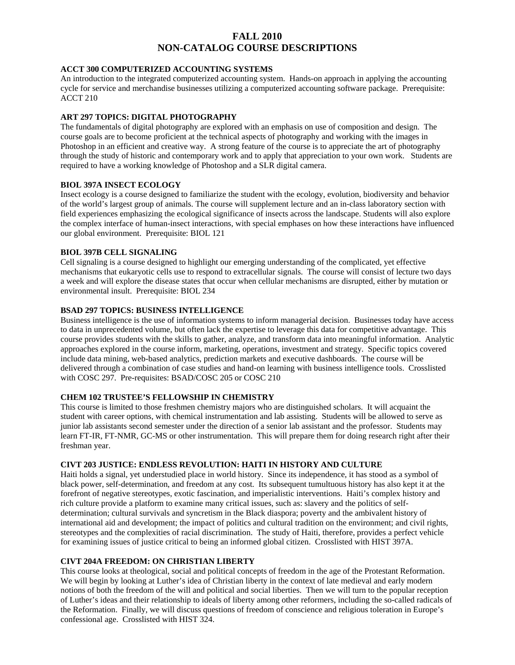## **FALL 2010 NON-CATALOG COURSE DESCRIPTIONS**

## **ACCT 300 COMPUTERIZED ACCOUNTING SYSTEMS**

An introduction to the integrated computerized accounting system. Hands-on approach in applying the accounting cycle for service and merchandise businesses utilizing a computerized accounting software package. Prerequisite: ACCT 210

### **ART 297 TOPICS: DIGITAL PHOTOGRAPHY**

The fundamentals of digital photography are explored with an emphasis on use of composition and design. The course goals are to become proficient at the technical aspects of photography and working with the images in Photoshop in an efficient and creative way. A strong feature of the course is to appreciate the art of photography through the study of historic and contemporary work and to apply that appreciation to your own work. Students are required to have a working knowledge of Photoshop and a SLR digital camera.

## **BIOL 397A INSECT ECOLOGY**

Insect ecology is a course designed to familiarize the student with the ecology, evolution, biodiversity and behavior of the world's largest group of animals. The course will supplement lecture and an in-class laboratory section with field experiences emphasizing the ecological significance of insects across the landscape. Students will also explore the complex interface of human-insect interactions, with special emphases on how these interactions have influenced our global environment. Prerequisite: BIOL 121

#### **BIOL 397B CELL SIGNALING**

Cell signaling is a course designed to highlight our emerging understanding of the complicated, yet effective mechanisms that eukaryotic cells use to respond to extracellular signals. The course will consist of lecture two days a week and will explore the disease states that occur when cellular mechanisms are disrupted, either by mutation or environmental insult. Prerequisite: BIOL 234

#### **BSAD 297 TOPICS: BUSINESS INTELLIGENCE**

Business intelligence is the use of information systems to inform managerial decision. Businesses today have access to data in unprecedented volume, but often lack the expertise to leverage this data for competitive advantage. This course provides students with the skills to gather, analyze, and transform data into meaningful information. Analytic approaches explored in the course inform, marketing, operations, investment and strategy. Specific topics covered include data mining, web-based analytics, prediction markets and executive dashboards. The course will be delivered through a combination of case studies and hand-on learning with business intelligence tools. Crosslisted with COSC 297. Pre-requisites: BSAD/COSC 205 or COSC 210

## **CHEM 102 TRUSTEE'S FELLOWSHIP IN CHEMISTRY**

This course is limited to those freshmen chemistry majors who are distinguished scholars. It will acquaint the student with career options, with chemical instrumentation and lab assisting. Students will be allowed to serve as junior lab assistants second semester under the direction of a senior lab assistant and the professor. Students may learn FT-IR, FT-NMR, GC-MS or other instrumentation. This will prepare them for doing research right after their freshman year.

#### **CIVT 203 JUSTICE: ENDLESS REVOLUTION: HAITI IN HISTORY AND CULTURE**

Haiti holds a signal, yet understudied place in world history. Since its independence, it has stood as a symbol of black power, self-determination, and freedom at any cost. Its subsequent tumultuous history has also kept it at the forefront of negative stereotypes, exotic fascination, and imperialistic interventions. Haiti's complex history and rich culture provide a platform to examine many critical issues, such as: slavery and the politics of selfdetermination; cultural survivals and syncretism in the Black diaspora; poverty and the ambivalent history of international aid and development; the impact of politics and cultural tradition on the environment; and civil rights, stereotypes and the complexities of racial discrimination. The study of Haiti, therefore, provides a perfect vehicle for examining issues of justice critical to being an informed global citizen. Crosslisted with HIST 397A.

## **CIVT 204A FREEDOM: ON CHRISTIAN LIBERTY**

This course looks at theological, social and political concepts of freedom in the age of the Protestant Reformation. We will begin by looking at Luther's idea of Christian liberty in the context of late medieval and early modern notions of both the freedom of the will and political and social liberties. Then we will turn to the popular reception of Luther's ideas and their relationship to ideals of liberty among other reformers, including the so-called radicals of the Reformation. Finally, we will discuss questions of freedom of conscience and religious toleration in Europe's confessional age. Crosslisted with HIST 324.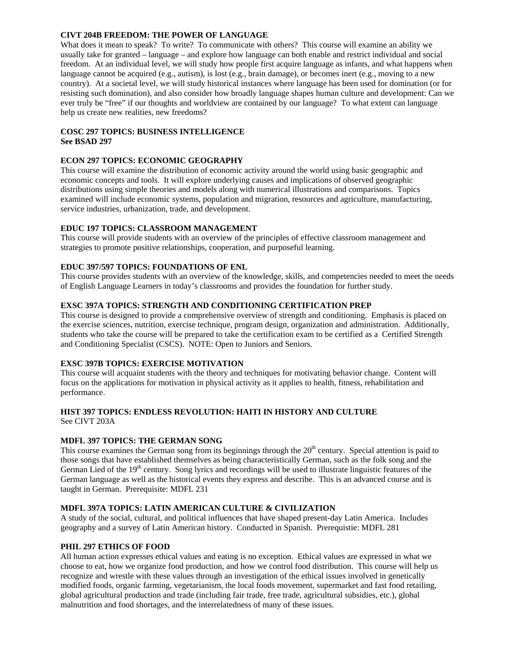### **CIVT 204B FREEDOM: THE POWER OF LANGUAGE**

What does it mean to speak? To write? To communicate with others? This course will examine an ability we usually take for granted – language – and explore how language can both enable and restrict individual and social freedom. At an individual level, we will study how people first acquire language as infants, and what happens when language cannot be acquired (e.g., autism), is lost (e.g., brain damage), or becomes inert (e.g., moving to a new country). At a societal level, we will study historical instances where language has been used for domination (or for resisting such domination), and also consider how broadly language shapes human culture and development: Can we ever truly be "free" if our thoughts and worldview are contained by our language? To what extent can language help us create new realities, new freedoms?

## **COSC 297 TOPICS: BUSINESS INTELLIGENCE See BSAD 297**

#### **ECON 297 TOPICS: ECONOMIC GEOGRAPHY**

This course will examine the distribution of economic activity around the world using basic geographic and economic concepts and tools. It will explore underlying causes and implications of observed geographic distributions using simple theories and models along with numerical illustrations and comparisons. Topics examined will include economic systems, population and migration, resources and agriculture, manufacturing, service industries, urbanization, trade, and development.

#### **EDUC 197 TOPICS: CLASSROOM MANAGEMENT**

This course will provide students with an overview of the principles of effective classroom management and strategies to promote positive relationships, cooperation, and purposeful learning.

#### **EDUC 397/597 TOPICS: FOUNDATIONS OF ENL**

This course provides students with an overview of the knowledge, skills, and competencies needed to meet the needs of English Language Learners in today's classrooms and provides the foundation for further study.

#### **EXSC 397A TOPICS: STRENGTH AND CONDITIONING CERTIFICATION PREP**

This course is designed to provide a comprehensive overview of strength and conditioning. Emphasis is placed on the exercise sciences, nutrition, exercise technique, program design, organization and administration. Additionally, students who take the course will be prepared to take the certification exam to be certified as a Certified Strength and Conditioning Specialist (CSCS). NOTE: Open to Juniors and Seniors.

#### **EXSC 397B TOPICS: EXERCISE MOTIVATION**

This course will acquaint students with the theory and techniques for motivating behavior change. Content will focus on the applications for motivation in physical activity as it applies to health, fitness, rehabilitation and performance.

# **HIST 397 TOPICS: ENDLESS REVOLUTION: HAITI IN HISTORY AND CULTURE**

See CIVT 203A

## **MDFL 397 TOPICS: THE GERMAN SONG**

This course examines the German song from its beginnings through the  $20<sup>th</sup>$  century. Special attention is paid to those songs that have established themselves as being characteristically German, such as the folk song and the German Lied of the  $19<sup>th</sup>$  century. Song lyrics and recordings will be used to illustrate linguistic features of the German language as well as the historical events they express and describe. This is an advanced course and is taught in German. Prerequisite: MDFL 231

## **MDFL 397A TOPICS: LATIN AMERICAN CULTURE & CIVILIZATION**

A study of the social, cultural, and political influences that have shaped present-day Latin America. Includes geography and a survey of Latin American history. Conducted in Spanish. Prerequistie: MDFL 281

## **PHIL 297 ETHICS OF FOOD**

All human action expresses ethical values and eating is no exception. Ethical values are expressed in what we choose to eat, how we organize food production, and how we control food distribution. This course will help us recognize and wrestle with these values through an investigation of the ethical issues involved in genetically modified foods, organic farming, vegetarianism, the local foods movement, supermarket and fast food retailing, global agricultural production and trade (including fair trade, free trade, agricultural subsidies, etc.), global malnutrition and food shortages, and the interrelatedness of many of these issues.